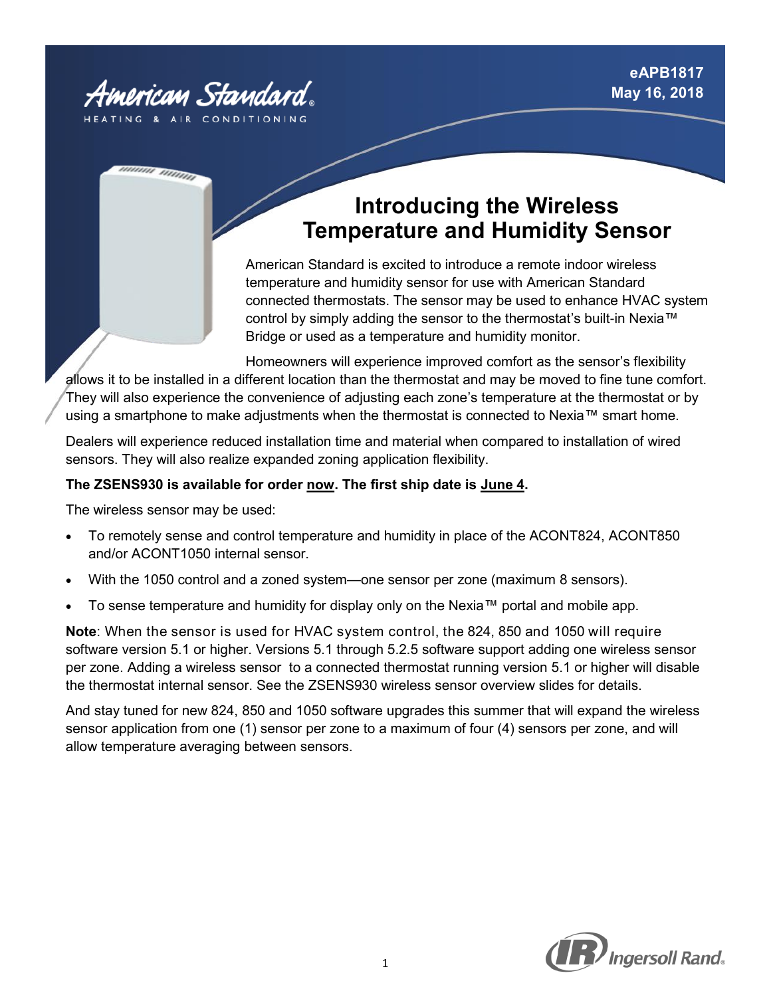

חחחות חווי

# **Introducing the Wireless Temperature and Humidity Sensor**

American Standard is excited to introduce a remote indoor wireless temperature and humidity sensor for use with American Standard connected thermostats. The sensor may be used to enhance HVAC system control by simply adding the sensor to the thermostat's built-in Nexia™ Bridge or used as a temperature and humidity monitor.

Homeowners will experience improved comfort as the sensor's flexibility allows it to be installed in a different location than the thermostat and may be moved to fine tune comfort. They will also experience the convenience of adjusting each zone's temperature at the thermostat or by using a smartphone to make adjustments when the thermostat is connected to Nexia™ smart home.

Dealers will experience reduced installation time and material when compared to installation of wired sensors. They will also realize expanded zoning application flexibility.

## **The ZSENS930 is available for order now. The first ship date is June 4.**

The wireless sensor may be used:

- To remotely sense and control temperature and humidity in place of the ACONT824, ACONT850 and/or ACONT1050 internal sensor.
- With the 1050 control and a zoned system—one sensor per zone (maximum 8 sensors).
- To sense temperature and humidity for display only on the Nexia™ portal and mobile app.

**Note**: When the sensor is used for HVAC system control, the 824, 850 and 1050 will require software version 5.1 or higher. Versions 5.1 through 5.2.5 software support adding one wireless sensor per zone. Adding a wireless sensor to a connected thermostat running version 5.1 or higher will disable the thermostat internal sensor. See the ZSENS930 wireless sensor overview slides for details.

And stay tuned for new 824, 850 and 1050 software upgrades this summer that will expand the wireless sensor application from one (1) sensor per zone to a maximum of four (4) sensors per zone, and will allow temperature averaging between sensors.